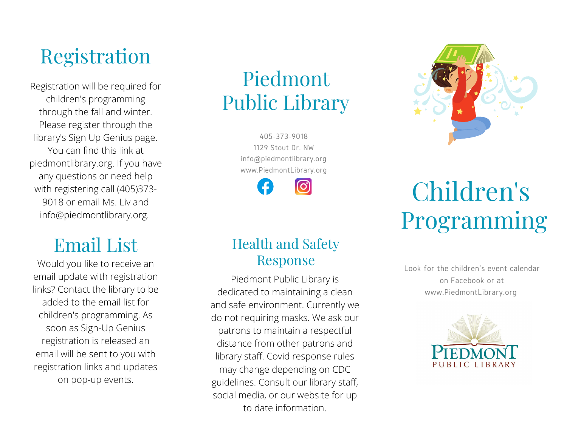## Registration

Registration will be required for children's programming through the fall and winter. Please register through the library's Sign Up Genius page. You can find this link at piedmontlibrary.org. If you have any questions or need help with registering call (405)373- 9018 or email Ms. Liv and info@piedmontlibrary.org.

## Email List

Would you like to receive an email update with registration links? Contact the library to be added to the email list for children's programming. As soon as Sign-Up Genius registration is released an email will be sent to you with registration links and updates on pop-up events.

## Piedmont Public Library

405-373-9018 1129 Stout Dr. NW info@piedmontlibrary.org www.PiedmontLibrary.org

രി

### Health and Safety Response

Piedmont Public Library is dedicated to maintaining a clean and safe environment. Currently we do not requiring masks. We ask our patrons to maintain a respectful distance from other patrons and library staff. Covid response rules may change depending on CDC guidelines. Consult our library staff, social media, or our website for up to date information.



# Children's Programming

Look for the children's event calendar on Facebook or at www.PiedmontLibrary.org